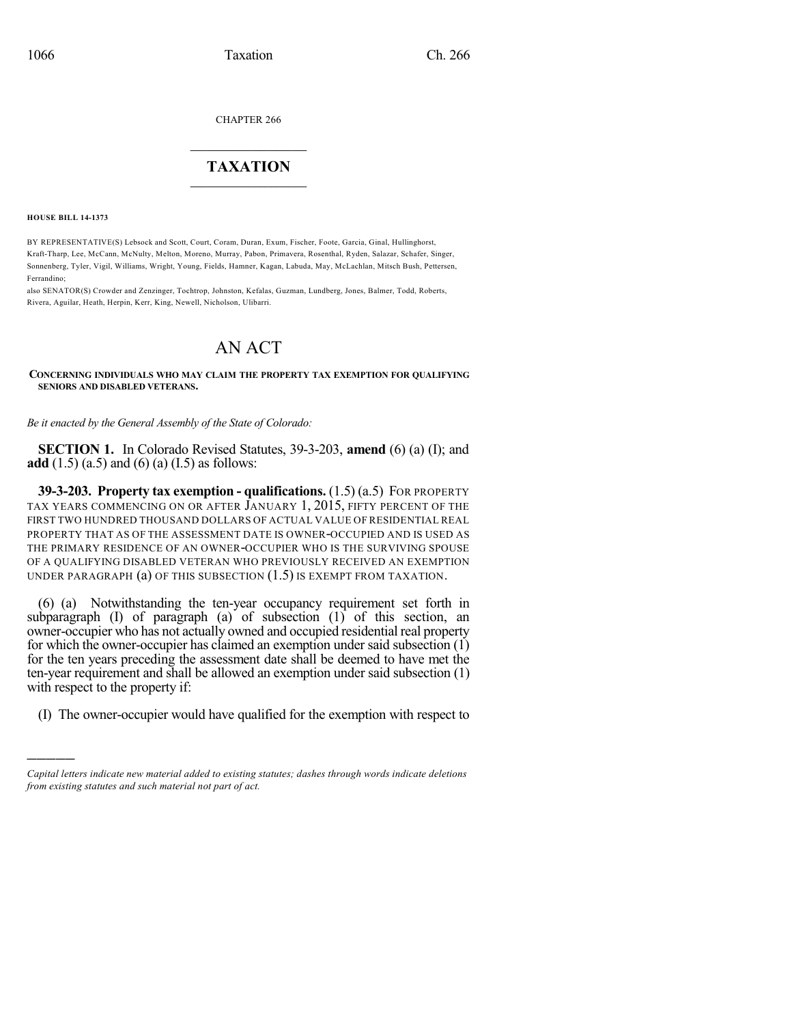CHAPTER 266

## $\mathcal{L}_\text{max}$  . The set of the set of the set of the set of the set of the set of the set of the set of the set of the set of the set of the set of the set of the set of the set of the set of the set of the set of the set **TAXATION**  $\_$

**HOUSE BILL 14-1373**

)))))

BY REPRESENTATIVE(S) Lebsock and Scott, Court, Coram, Duran, Exum, Fischer, Foote, Garcia, Ginal, Hullinghorst, Kraft-Tharp, Lee, McCann, McNulty, Melton, Moreno, Murray, Pabon, Primavera, Rosenthal, Ryden, Salazar, Schafer, Singer, Sonnenberg, Tyler, Vigil, Williams, Wright, Young, Fields, Hamner, Kagan, Labuda, May, McLachlan, Mitsch Bush, Pettersen, Ferrandino;

also SENATOR(S) Crowder and Zenzinger, Tochtrop, Johnston, Kefalas, Guzman, Lundberg, Jones, Balmer, Todd, Roberts, Rivera, Aguilar, Heath, Herpin, Kerr, King, Newell, Nicholson, Ulibarri.

## AN ACT

**CONCERNING INDIVIDUALS WHO MAY CLAIM THE PROPERTY TAX EXEMPTION FOR QUALIFYING SENIORS AND DISABLED VETERANS.**

*Be it enacted by the General Assembly of the State of Colorado:*

**SECTION 1.** In Colorado Revised Statutes, 39-3-203, **amend** (6) (a) (I); and **add** (1.5) (a.5) and (6) (a) (I.5) as follows:

**39-3-203. Property tax exemption - qualifications.** (1.5) (a.5) FOR PROPERTY TAX YEARS COMMENCING ON OR AFTER JANUARY 1, 2015, FIFTY PERCENT OF THE FIRST TWO HUNDRED THOUSAND DOLLARS OF ACTUAL VALUE OF RESIDENTIAL REAL PROPERTY THAT AS OF THE ASSESSMENT DATE IS OWNER-OCCUPIED AND IS USED AS THE PRIMARY RESIDENCE OF AN OWNER-OCCUPIER WHO IS THE SURVIVING SPOUSE OF A QUALIFYING DISABLED VETERAN WHO PREVIOUSLY RECEIVED AN EXEMPTION UNDER PARAGRAPH (a) OF THIS SUBSECTION (1.5) IS EXEMPT FROM TAXATION.

(6) (a) Notwithstanding the ten-year occupancy requirement set forth in subparagraph (I) of paragraph (a) of subsection (1) of this section, an owner-occupier who has not actually owned and occupied residential real property for which the owner-occupier has claimed an exemption under said subsection (1) for the ten years preceding the assessment date shall be deemed to have met the ten-year requirement and shall be allowed an exemption under said subsection (1) with respect to the property if:

(I) The owner-occupier would have qualified for the exemption with respect to

*Capital letters indicate new material added to existing statutes; dashes through words indicate deletions from existing statutes and such material not part of act.*